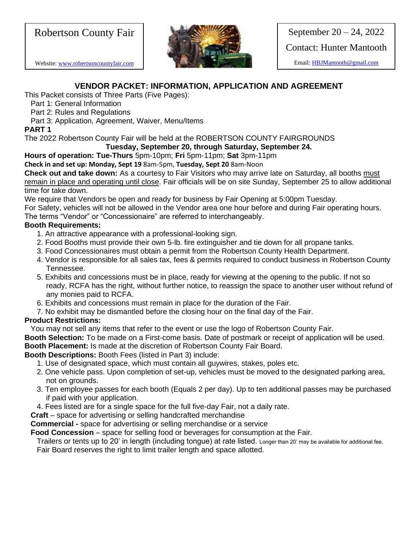# Robertson County Fair

Website[: www.robertsoncountyfair.com](http://www.robertsoncountyfair.com/)



September 20 – 24, 2022 Contact: Hunter Mantooth

Email: [HBJMantooth@gmail.com](mailto:HBJMantooth@gmail.com)

# **VENDOR PACKET: INFORMATION, APPLICATION AND AGREEMENT**

This Packet consists of Three Parts (Five Pages):

Part 1: General Information

Part 2: Rules and Regulations

Part 3: Application, Agreement, Waiver, Menu/Items

## **PART 1**

The 2022 Robertson County Fair will be held at the ROBERTSON COUNTY FAIRGROUNDS

**Tuesday, September 20, through Saturday, September 24.**

**Hours of operation: Tue-Thurs** 5pm-10pm; **Fri** 5pm-11pm; **Sat** 3pm-11pm

**Check in and set up: Monday, Sept 19** 8am-5pm, **Tuesday, Sept 20** 8am-Noon

**Check out and take down:** As a courtesy to Fair Visitors who may arrive late on Saturday, all booths must remain in place and operating until close. Fair officials will be on site Sunday, September 25 to allow additional time for take down.

We require that Vendors be open and ready for business by Fair Opening at 5:00pm Tuesday.

For Safety, vehicles will not be allowed in the Vendor area one hour before and during Fair operating hours.

The terms "Vendor" or "Concessionaire" are referred to interchangeably.

# **Booth Requirements:**

- 1. An attractive appearance with a professional-looking sign.
- 2. Food Booths must provide their own 5-lb. fire extinguisher and tie down for all propane tanks.
- 3. Food Concessionaires must obtain a permit from the Robertson County Health Department.
- 4. Vendor is responsible for all sales tax, fees & permits required to conduct business in Robertson County Tennessee.
- 5. Exhibits and concessions must be in place, ready for viewing at the opening to the public. If not so ready, RCFA has the right, without further notice, to reassign the space to another user without refund of any monies paid to RCFA.
- 6. Exhibits and concessions must remain in place for the duration of the Fair.
- 7. No exhibit may be dismantled before the closing hour on the final day of the Fair.

# **Product Restrictions:**

You may not sell any items that refer to the event or use the logo of Robertson County Fair.

**Booth Selection:** To be made on a First-come basis. Date of postmark or receipt of application will be used.

**Booth Placement:** Is made at the discretion of Robertson County Fair Board.

# **Booth Descriptions:** Booth Fees (listed in Part 3) include:

- 1. Use of designated space, which must contain all guywires, stakes, poles etc.
- 2. One vehicle pass. Upon completion of set-up, vehicles must be moved to the designated parking area, not on grounds.
- 3. Ten employee passes for each booth (Equals 2 per day). Up to ten additional passes may be purchased if paid with your application.
- 4. Fees listed are for a single space for the full five-day Fair, not a daily rate.
- **Craft**  space for advertising or selling handcrafted merchandise

**Commercial -** space for advertising or selling merchandise or a service

**Food Concession** – space for selling food or beverages for consumption at the Fair.

Trailers or tents up to 20' in length (including tongue) at rate listed. Longer than 20' may be available for additional fee. Fair Board reserves the right to limit trailer length and space allotted.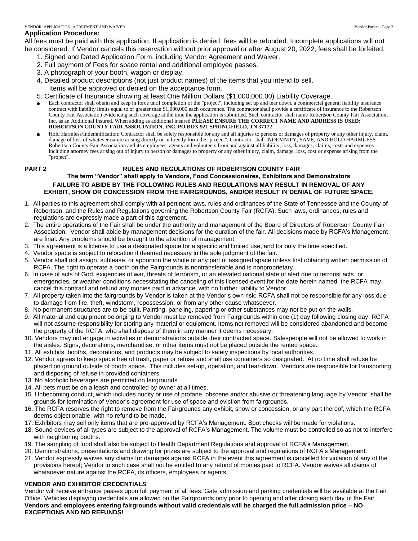#### **Application Procedure:**

All fees must be paid with this application. If application is denied, fees will be refunded. Incomplete applications will not be considered. If Vendor cancels this reservation without prior approval or after August 20, 2022, fees shall be forfeited.

- 1. Signed and Dated Application Form, including Vendor Agreement and Waiver.
- 2. Full payment of Fees for space rental and additional employee passes.
- 3. A photograph of your booth, wagon or display.
- 4. Detailed product descriptions (not just product names) of the items that you intend to sell. Items will be approved or denied on the acceptance form.
- 5. Certificate of Insurance showing at least One Million Dollars (\$1,000,000.00) Liability Coverage.
- Each contractor shall obtain and keep in force until completion of the "project", including set up and tear down, a commercial general liability insurance contract with liability limits equal to or greater than \$1,000,000 each occurrence. The contractor shall provide a certificate of insurance to the Robertson County Fair Association evidencing such coverage at the time the application is submitted. Such contractor shall name Robertson County Fair Association, Inc. as an Additional Insured. When adding as additional insured **PLEASE ENSURE THE CORRECT NAME AND ADDRESS IS USED: ROBERTSON COUNTY FAIR ASSOCIATION, INC. PO BOX 921 SPRINGFIELD, TN 37172**
- Hold Harmless/Indemnification: Contractor shall be solely responsible for any and all injuries to persons or damages of property or any other injury, claim, damage of loss of whatever nature arising directly or indirectly form the "project". Contractor shall INDEMNIFY, SAVE, AND HOLD HARMLESS Robertson County Fair Association and its employees, agents and volunteers from and against all liability, loss, damages, claims, costs and expenses including attorney fees arising out of injury to person or damages to property or any other injury, claim, damage, loss, cost or expense arising from the "project".

#### **PART 2 RULES AND REGULATIONS OF ROBERTSON COUNTY FAIR**

#### **The term "Vendor" shall apply to Vendors, Food Concessionaires, Exhibitors and Demonstrators FAILURE TO ABIDE BY THE FOLLOWING RULES AND REGULATIONS MAY RESULT IN REMOVAL OF ANY EXHIBIT, SHOW OR CONCESSION FROM THE FAIRGROUNDS, AND/OR RESULT IN DENIAL OF FUTURE SPACE.**

- 1. All parties to this agreement shall comply with all pertinent laws, rules and ordinances of the State of Tennessee and the County of Robertson, and the Rules and Regulations governing the Robertson County Fair (RCFA). Such laws, ordinances, rules and regulations are expressly made a part of this agreement.
- 2. The entire operations of the Fair shall be under the authority and management of the Board of Directors of Robertson County Fair Association. Vendor shall abide by management decisions for the duration of the fair. All decisions made by RCFA's Management are final. Any problems should be brought to the attention of management.
- 3. This agreement is a license to use a designated space for a specific and limited use, and for only the time specified.
- 4. Vendor space is subject to relocation if deemed necessary in the sole judgment of the fair.
- 5. Vendor shall not assign, sublease, or apportion the whole or any part of assigned space unless first obtaining written permission of RCFA. The right to operate a booth on the Fairgrounds is nontransferable and is nonproprietary.
- 6. In case of acts of God, exigencies of war, threats of terrorism, or an elevated national state of alert due to terrorist acts, or emergencies, or weather conditions necessitating the canceling of this licensed event for the date herein named, the RCFA may cancel this contract and refund any monies paid in advance, with no further liability to Vendor.
- 7. All property taken into the fairgrounds by Vendor is taken at the Vendor's own risk; RCFA shall not be responsible for any loss due to damage from fire, theft, windstorm, repossession, or from any other cause whatsoever.
- 8. No permanent structures are to be built. Painting, paneling, papering or other substances may not be put on the walls.
- 9. All material and equipment belonging to Vendor must be removed from Fairgrounds within one (1) day following closing day. RCFA will not assume responsibility for storing any material or equipment. Items not removed will be considered abandoned and become the property of the RCFA, who shall dispose of them in any manner it deems necessary.
- 10. Vendors may not engage in activities or demonstrations outside their contracted space. Salespeople will not be allowed to work in the aisles. Signs, decorations, merchandise, or other items must not be placed outside the rented space.
- 11. All exhibits, booths, decorations, and products may be subject to safety inspections by local authorities.
- 12. Vendor agrees to keep space free of trash, paper or refuse and shall use containers so designated. At no time shall refuse be placed on ground outside of booth space. This includes set-up, operation, and tear-down. Vendors are responsible for transporting and disposing of refuse in provided containers.
- 13. No alcoholic beverages are permitted on fairgrounds.
- 14. All pets must be on a leash and controlled by owner at all times.
- 15. Unbecoming conduct, which includes nudity or use of profane, obscene and/or abusive or threatening language by Vendor, shall be grounds for termination of Vendor's agreement for use of space and eviction from fairgrounds.
- 16. The RCFA reserves the right to remove from the Fairgrounds any exhibit, show or concession, or any part thereof, which the RCFA deems objectionable, with no refund to be made.
- 17. Exhibitors may sell only items that are pre-approved by RCFA's Management. Spot checks will be made for violations.
- 18. Sound devices of all types are subject to the approval of RCFA's Management. The volume must be controlled so as not to interfere with neighboring booths.
- 19. The sampling of food shall also be subject to Health Department Regulations and approval of RCFA's Management.
- 20. Demonstrations, presentations and drawing for prizes are subject to the approval and regulations of RCFA's Management.
- 21. Vendor expressly waives any claims for damages against RCFA in the event this agreement is cancelled for violation of any of the provisions hereof; Vendor in such case shall not be entitled to any refund of monies paid to RCFA. Vendor waives all claims of whatsoever nature against the RCFA, its officers, employees or agents.

#### **VENDOR AND EXHIBITOR CREDENTIALS**

Vendor will receive entrance passes upon full payment of all fees. Gate admission and parking credentials will be available at the Fair Office. Vehicles displaying credentials are allowed on the Fairgrounds only prior to opening and after closing each day of the Fair. **Vendors and employees entering fairgrounds without valid credentials will be charged the full admission price – NO EXCEPTIONS AND NO REFUNDS!**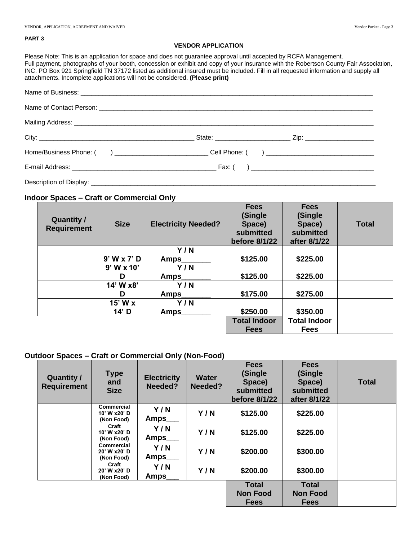#### **PART 3**

#### **VENDOR APPLICATION**

Please Note: This is an application for space and does not guarantee approval until accepted by RCFA Management. Full payment, photographs of your booth, concession or exhibit and copy of your insurance with the Robertson County Fair Association, INC. PO Box 921 Springfield TN 37172 listed as additional insured must be included. Fill in all requested information and supply all attachments. Incomplete applications will not be considered. **(Please print)**

#### **Indoor Spaces – Craft or Commercial Only**

| Quantity /<br><b>Requirement</b> | <b>Size</b>     | <b>Electricity Needed?</b> | <b>Fees</b><br>(Single<br>Space)<br>submitted<br>before 8/1/22 | <b>Fees</b><br>(Single<br>Space)<br>submitted<br>after 8/1/22 | <b>Total</b> |
|----------------------------------|-----------------|----------------------------|----------------------------------------------------------------|---------------------------------------------------------------|--------------|
|                                  |                 | Y/N                        |                                                                |                                                               |              |
|                                  | $9'$ W x $7'$ D | Amps                       | \$125.00                                                       | \$225.00                                                      |              |
|                                  | $9'$ W x 10'    | Y/N                        |                                                                |                                                               |              |
|                                  | D               | <b>Amps</b>                | \$125.00                                                       | \$225.00                                                      |              |
|                                  | 14' W x8'       | Y/N                        |                                                                |                                                               |              |
|                                  | D               | <b>Amps</b>                | \$175.00                                                       | \$275.00                                                      |              |
|                                  | $15'$ W $x$     | Y/N                        |                                                                |                                                               |              |
|                                  | $14'$ D         | Amps                       | \$250.00                                                       | \$350.00                                                      |              |
|                                  |                 |                            | <b>Total Indoor</b>                                            | <b>Total Indoor</b>                                           |              |
|                                  |                 |                            | <b>Fees</b>                                                    | <b>Fees</b>                                                   |              |

#### **Outdoor Spaces – Craft or Commercial Only (Non-Food)**

| <b>Quantity /</b><br><b>Requirement</b> | <b>Type</b><br>and<br><b>Size</b>               | <b>Electricity</b><br>Needed? | <b>Water</b><br>Needed? | <b>Fees</b><br>(Single<br>Space)<br>submitted<br>before 8/1/22 | <b>Fees</b><br>(Single<br>Space)<br>submitted<br>after 8/1/22 | <b>Total</b> |
|-----------------------------------------|-------------------------------------------------|-------------------------------|-------------------------|----------------------------------------------------------------|---------------------------------------------------------------|--------------|
|                                         | <b>Commercial</b><br>10' W x20' D<br>(Non Food) | Y/N<br>Amps                   | Y/N                     | \$125.00                                                       | \$225.00                                                      |              |
|                                         | Craft<br>10' W x20' D<br>(Non Food)             | Y/N<br>Amps                   | Y/N                     | \$125.00                                                       | \$225.00                                                      |              |
|                                         | <b>Commercial</b><br>20' W x20' D<br>(Non Food) | Y/N<br>Amps                   | Y/N                     | \$200.00                                                       | \$300.00                                                      |              |
|                                         | Craft<br>20' W x20' D<br>(Non Food)             | Y/N<br>Amps                   | Y/N                     | \$200.00                                                       | \$300.00                                                      |              |
|                                         |                                                 |                               |                         | <b>Total</b>                                                   | <b>Total</b>                                                  |              |
|                                         |                                                 |                               |                         | <b>Non Food</b>                                                | <b>Non Food</b>                                               |              |
|                                         |                                                 |                               |                         | <b>Fees</b>                                                    | <b>Fees</b>                                                   |              |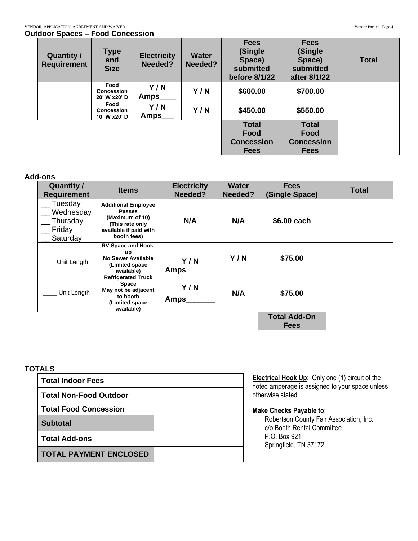| .uvv. opavov                            |                                           |                               |                         |                                                                 |                                                               |              |
|-----------------------------------------|-------------------------------------------|-------------------------------|-------------------------|-----------------------------------------------------------------|---------------------------------------------------------------|--------------|
| <b>Quantity /</b><br><b>Requirement</b> | <b>Type</b><br>and<br><b>Size</b>         | <b>Electricity</b><br>Needed? | <b>Water</b><br>Needed? | <b>Fees</b><br>(Single)<br>Space)<br>submitted<br>before 8/1/22 | <b>Fees</b><br>(Single<br>Space)<br>submitted<br>after 8/1/22 | <b>Total</b> |
|                                         | Food<br><b>Concession</b><br>20' W x20' D | Y/N<br><b>Amps</b>            | Y/N                     | \$600.00                                                        | \$700.00                                                      |              |
|                                         | Food<br><b>Concession</b><br>10' W x20' D | Y/N<br><b>Amps</b>            | Y/N                     | \$450.00                                                        | \$550.00                                                      |              |
|                                         |                                           |                               |                         | <b>Total</b><br>Food<br><b>Concession</b>                       | <b>Total</b><br>Food<br><b>Concession</b>                     |              |
|                                         |                                           |                               |                         | <b>Fees</b>                                                     | <b>Fees</b>                                                   |              |

### **Add-ons**

| <b>Quantity /</b><br><b>Requirement</b>                | <b>Items</b>                                                                                                               | <b>Electricity</b><br>Needed? | <b>Water</b><br>Needed? | <b>Fees</b><br>(Single Space)      | <b>Total</b> |
|--------------------------------------------------------|----------------------------------------------------------------------------------------------------------------------------|-------------------------------|-------------------------|------------------------------------|--------------|
| Tuesday<br>Wednesday<br>Thursday<br>Friday<br>Saturday | <b>Additional Employee</b><br><b>Passes</b><br>(Maximum of 10)<br>(This rate only<br>available if paid with<br>booth fees) | N/A                           | N/A                     | \$6.00 each                        |              |
| Unit Length                                            | <b>RV Space and Hook-</b><br>up<br>No Sewer Available<br>(Limited space<br>available)                                      | Y/N<br>Amps                   | Y/N                     | \$75.00                            |              |
| Unit Length                                            | <b>Refrigerated Truck</b><br><b>Space</b><br>May not be adjacent<br>to booth<br>(Limited space<br>available)               | Y/N<br><b>Amps</b>            | N/A                     | \$75.00                            |              |
|                                                        |                                                                                                                            |                               |                         | <b>Total Add-On</b><br><b>Fees</b> |              |

### **TOTALS**

| <b>Total Indoor Fees</b>      |  |
|-------------------------------|--|
| <b>Total Non-Food Outdoor</b> |  |
| <b>Total Food Concession</b>  |  |
| <b>Subtotal</b>               |  |
| <b>Total Add-ons</b>          |  |
| <b>TOTAL PAYMENT ENCLOSED</b> |  |

**Electrical Hook Up:** Only one (1) circuit of the noted amperage is assigned to your space unless otherwise stated.

#### **Make Checks Payable to**:

Robertson County Fair Association, Inc. c/o Booth Rental Committee P.O. Box 921 Springfield, TN 37172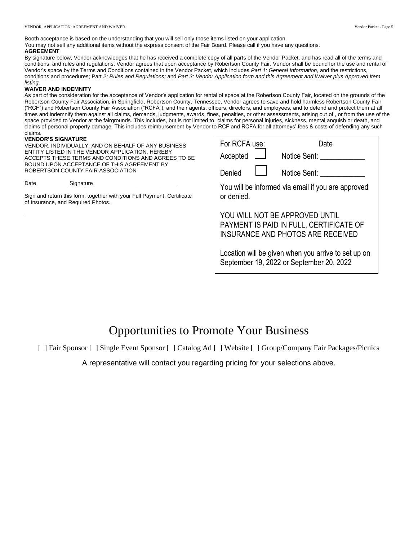Booth acceptance is based on the understanding that you will sell only those items listed on your application. You may not sell any additional items without the express consent of the Fair Board. Please call if you have any questions. **AGREEMENT**

By signature below, Vendor acknowledges that he has received a complete copy of all parts of the Vendor Packet, and has read all of the terms and conditions, and rules and regulations. Vendor agrees that upon acceptance by Robertson County Fair, Vendor shall be bound for the use and rental of Vendor's space by the Terms and Conditions contained in the Vendor Packet, which includes *Part 1: General Information*, and the restrictions, conditions and procedures; Part *2: Rules and Regulations;* and *Part 3: Vendor Application form and this Agreement and Waiver plus Approved Item listing*.

#### **WAIVER AND INDEMNITY**

As part of the consideration for the acceptance of Vendor's application for rental of space at the Robertson County Fair, located on the grounds of the Robertson County Fair Association, in Springfield, Robertson County, Tennessee, Vendor agrees to save and hold harmless Robertson County Fair ("RCF") and Robertson County Fair Association ("RCFA"), and their agents, officers, directors, and employees, and to defend and protect them at all times and indemnify them against all claims, demands, judgments, awards, fines, penalties, or other assessments, arising out of , or from the use of the space provided to Vendor at the fairgrounds. This includes, but is not limited to, claims for personal injuries, sickness, mental anguish or death, and claims of personal property damage. This includes reimbursement by Vendor to RCF and RCFA for all attorneys' fees & costs of defending any such claims.

#### **VENDOR'S SIGNATURE**

*.*

VENDOR, INDIVIDUALLY, AND ON BEHALF OF ANY BUSINESS ENTITY LISTED IN THE VENDOR APPLICATION, HEREBY ACCEPTS THESE TERMS AND CONDITIONS AND AGREES TO BE BOUND UPON ACCEPTANCE OF THIS AGREEMENT BY ROBERTSON COUNTY FAIR ASSOCIATION

Date \_\_\_\_\_\_\_\_\_\_\_\_\_\_\_\_\_\_\_ Signature \_

Sign and return this form, together with your Full Payment, Certificate of Insurance, and Required Photos.

| For RCFA use:                                                                                                  | Date         |  |  |  |  |
|----------------------------------------------------------------------------------------------------------------|--------------|--|--|--|--|
| Accepted                                                                                                       | Notice Sent: |  |  |  |  |
| Denied                                                                                                         | Notice Sent: |  |  |  |  |
| You will be informed via email if you are approved<br>or denied.                                               |              |  |  |  |  |
| YOU WILL NOT BE APPROVED UNTIL<br>PAYMENT IS PAID IN FULL, CERTIFICATE OF<br>INSURANCE AND PHOTOS ARE RECEIVED |              |  |  |  |  |
| Location will be given when you arrive to set up on<br>September 19, 2022 or September 20, 2022                |              |  |  |  |  |

# Opportunities to Promote Your Business

[ ] Fair Sponsor [ ] Single Event Sponsor [ ] Catalog Ad [ ] Website [ ] Group/Company Fair Packages/Picnics

A representative will contact you regarding pricing for your selections above.